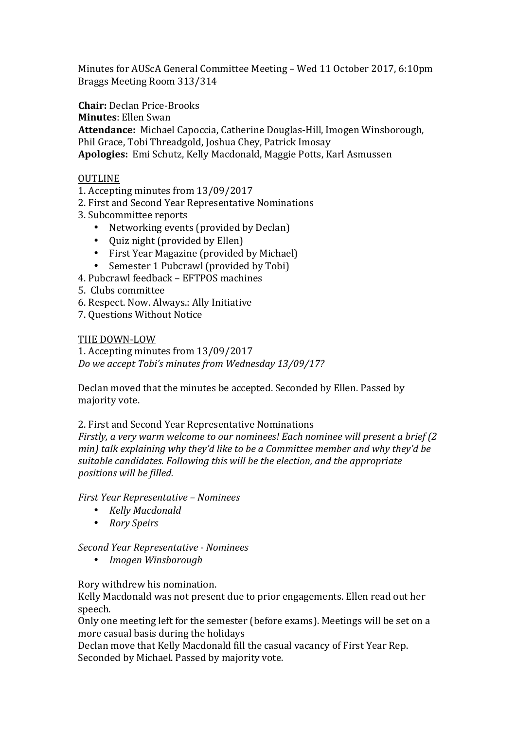Minutes for AUScA General Committee Meeting – Wed 11 October 2017, 6:10pm Braggs Meeting Room 313/314

**Chair:** Declan Price-Brooks

**Minutes**: Ellen Swan

Attendance: Michael Capoccia, Catherine Douglas-Hill, Imogen Winsborough, Phil Grace, Tobi Threadgold, Joshua Chey, Patrick Imosay Apologies: Emi Schutz, Kelly Macdonald, Maggie Potts, Karl Asmussen

## OUTLINE

1. Accepting minutes from  $13/09/2017$ 

- 2. First and Second Year Representative Nominations
- 3. Subcommittee reports
	- Networking events (provided by Declan)
	- Quiz night (provided by Ellen)
	- First Year Magazine (provided by Michael)
	- Semester 1 Pubcrawl (provided by Tobi)
- 4. Pubcrawl feedback EFTPOS machines
- 5. Clubs committee
- 6. Respect. Now. Always.: Ally Initiative
- 7. Questions Without Notice

## THE DOWN-LOW

1. Accepting minutes from 13/09/2017 *Do we accept Tobi's minutes from Wednesday 13/09/17?*

Declan moved that the minutes be accepted. Seconded by Ellen. Passed by majority vote.

## 2. First and Second Year Representative Nominations

*Firstly, a very warm welcome to our nominees! Each nominee will present a brief (2) min)* talk explaining why they'd like to be a Committee member and why they'd be suitable candidates. Following this will be the election, and the appropriate *positions will be filled.*

*First Year Representative – Nominees*

- *Kelly Macdonald*
- *Rory Speirs*

*Second Year Representative - Nominees*

• *Imogen Winsborough*

Rory withdrew his nomination.

Kelly Macdonald was not present due to prior engagements. Ellen read out her speech.

Only one meeting left for the semester (before exams). Meetings will be set on a more casual basis during the holidays

Declan move that Kelly Macdonald fill the casual vacancy of First Year Rep. Seconded by Michael. Passed by majority vote.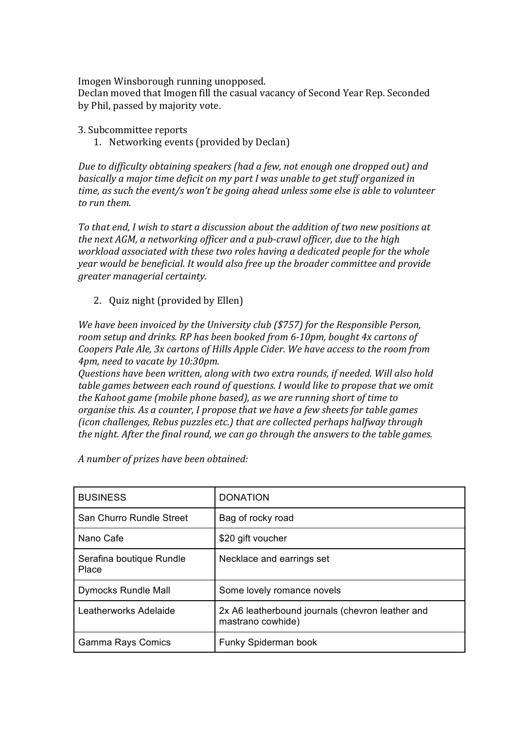Imogen Winsborough running unopposed.

Declan moved that Imogen fill the casual vacancy of Second Year Rep. Seconded by Phil, passed by majority vote.

3. Subcommittee reports

1. Networking events (provided by Declan)

*Due to difficulty obtaining speakers (had a few, not enough one dropped out)* and *basically a major time deficit on my part I was unable to get stuff organized in time, as such the event/s* won't be going ahead unless some else is able to volunteer *to run them.*

To that end, I wish to start a discussion about the addition of two new positions at *the next AGM, a networking officer and a pub-crawl officer, due to the high workload associated with these two roles having a dedicated people for the whole year* would be beneficial. It would also free up the broader committee and provide *greater managerial certainty.*

2. Ouiz night (provided by Ellen)

*We have been invoiced by the University club (\$757) for the Responsible Person,* room setup and drinks. RP has been booked from 6-10pm, bought 4x cartons of *Coopers Pale Ale, 3x cartons of Hills Apple Cider. We have access to the room from 4pm, need to vacate by 10:30pm.* 

*Questions have been written, along with two extra rounds, if needed. Will also hold table games between each round of questions. I would like to propose that we omit the Kahoot game (mobile phone based), as we are running short of time to organise this. As a counter, I propose that we have a few sheets for table games (icon challenges, Rebus puzzles etc.)* that are collected perhaps halfway through *the night.* After the final round, we can go through the answers to the table games.

| <b>BUSINESS</b>                   | <b>DONATION</b>                                                       |
|-----------------------------------|-----------------------------------------------------------------------|
| San Churro Rundle Street          | Bag of rocky road                                                     |
| Nano Cafe                         | \$20 gift voucher                                                     |
| Serafina boutique Rundle<br>Place | Necklace and earrings set                                             |
| <b>Dymocks Rundle Mall</b>        | Some lovely romance novels                                            |
| Leatherworks Adelaide             | 2x A6 leatherbound journals (chevron leather and<br>mastrano cowhide) |
| <b>Gamma Rays Comics</b>          | Funky Spiderman book                                                  |

*A number of prizes have been obtained:*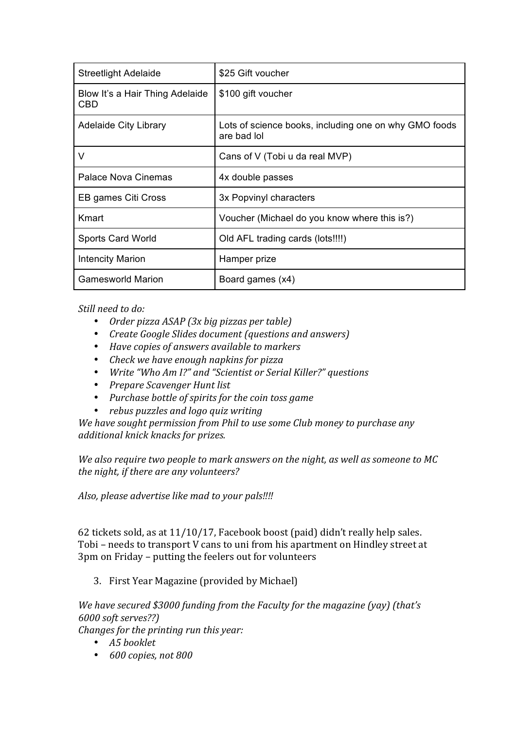| <b>Streetlight Adelaide</b>            | \$25 Gift voucher                                                    |
|----------------------------------------|----------------------------------------------------------------------|
| Blow It's a Hair Thing Adelaide<br>CBD | \$100 gift voucher                                                   |
| <b>Adelaide City Library</b>           | Lots of science books, including one on why GMO foods<br>are bad lol |
| V                                      | Cans of V (Tobi u da real MVP)                                       |
| <b>Palace Nova Cinemas</b>             | 4x double passes                                                     |
| EB games Citi Cross                    | 3x Popvinyl characters                                               |
| Kmart                                  | Voucher (Michael do you know where this is?)                         |
| <b>Sports Card World</b>               | Old AFL trading cards (lots!!!!)                                     |
| <b>Intencity Marion</b>                | Hamper prize                                                         |
| <b>Gamesworld Marion</b>               | Board games (x4)                                                     |

Still need to do:

- *Order pizza ASAP* (3x big pizzas per table)
- *Create Google Slides document (questions and answers)*
- Have copies of answers available to markers
- *Check we have enough napkins for pizza*
- *Write "Who Am I?"* and "Scientist or Serial Killer?" questions
- *Prepare Scavenger Hunt list*
- Purchase bottle of spirits for the coin toss game
- *rebus puzzles and logo quiz writing*

We have sought permission from Phil to use some Club money to purchase any *additional knick knacks for prizes.*

We also require two people to mark answers on the night, as well as someone to MC the night, if there are any volunteers?

*Also, please advertise like mad to your pals!!!!* 

62 tickets sold, as at  $11/10/17$ , Facebook boost (paid) didn't really help sales. Tobi – needs to transport V cans to uni from his apartment on Hindley street at 3pm on Friday – putting the feelers out for volunteers

3. First Year Magazine (provided by Michael)

*We have secured \$3000 funding from the Faculty for the magazine (yay)* (that's *6000 soft serves??)*

*Changes for the printing run this year:* 

- *A5 booklet*
- *600 copies, not 800*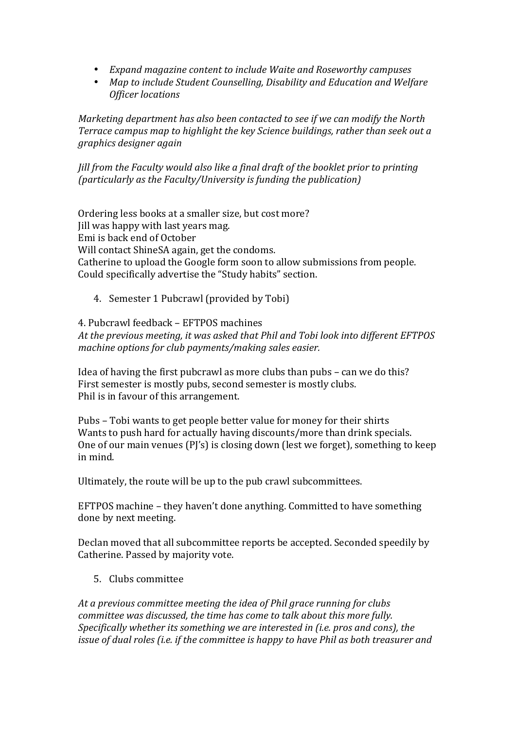- *Expand magazine content to include Waite and Roseworthy campuses*
- Map to include Student Counselling, Disability and Education and Welfare *Officer locations*

*Marketing department has also been contacted to see if we can modify the North Terrace campus map to highlight the key Science buildings, rather than seek out a graphics designer again*

*Jill* from the Faculty would also like a final draft of the booklet prior to printing *(particularly as the Faculty/University is funding the publication)* 

Ordering less books at a smaller size, but cost more? Iill was happy with last years mag. Emi is back end of October Will contact ShineSA again, get the condoms. Catherine to upload the Google form soon to allow submissions from people. Could specifically advertise the "Study habits" section.

4. Semester 1 Pubcrawl (provided by Tobi)

4. Pubcrawl feedback – EFTPOS machines At the previous meeting, it was asked that Phil and Tobi look into different EFTPOS *machine options for club payments/making sales easier.* 

Idea of having the first pubcrawl as more clubs than pubs  $-$  can we do this? First semester is mostly pubs, second semester is mostly clubs. Phil is in favour of this arrangement.

Pubs – Tobi wants to get people better value for money for their shirts Wants to push hard for actually having discounts/more than drink specials. One of our main venues  $(P)'s$  is closing down (lest we forget), something to keep in mind.

Ultimately, the route will be up to the pub crawl subcommittees.

EFTPOS machine - they haven't done anything. Committed to have something done by next meeting.

Declan moved that all subcommittee reports be accepted. Seconded speedily by Catherine. Passed by majority vote.

5. Clubs committee

At a previous committee meeting the *idea* of Phil grace running for clubs *committee was discussed, the time has come to talk about this more fully. Specifically* whether its something we are interested in (i.e. pros and cons), the *issue of dual roles (i.e. if the committee is happy to have Phil as both treasurer and*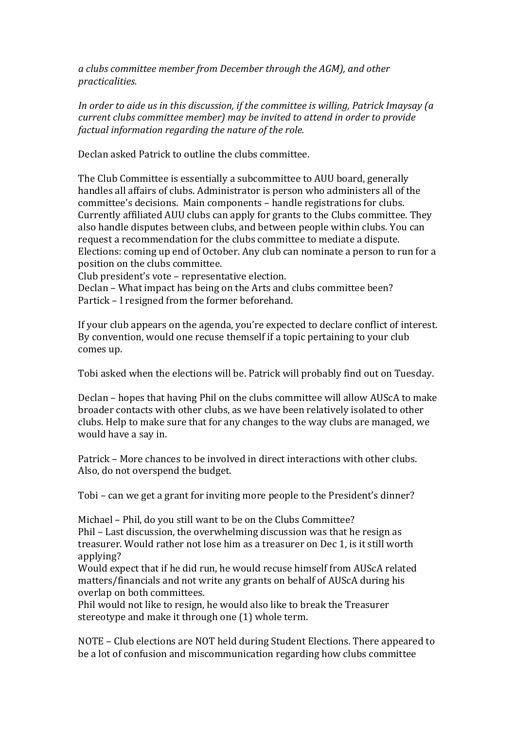*a clubs committee member from December through the AGM), and other practicalities.*

In order to aide us in this discussion, if the committee is willing, Patrick Imaysay (a *current clubs committee member)* may be invited to attend in order to provide *factual information regarding the nature of the role.* 

Declan asked Patrick to outline the clubs committee.

The Club Committee is essentially a subcommittee to AUU board, generally handles all affairs of clubs. Administrator is person who administers all of the committee's decisions. Main components - handle registrations for clubs. Currently affiliated AUU clubs can apply for grants to the Clubs committee. They also handle disputes between clubs, and between people within clubs. You can request a recommendation for the clubs committee to mediate a dispute. Elections: coming up end of October. Any club can nominate a person to run for a position on the clubs committee.

Club president's vote – representative election.

Declan – What impact has being on the Arts and clubs committee been? Partick – I resigned from the former beforehand.

If your club appears on the agenda, you're expected to declare conflict of interest. By convention, would one recuse themself if a topic pertaining to your club comes up.

Tobi asked when the elections will be. Patrick will probably find out on Tuesday.

Declan – hopes that having Phil on the clubs committee will allow AUScA to make broader contacts with other clubs, as we have been relatively isolated to other clubs. Help to make sure that for any changes to the way clubs are managed, we would have a say in.

Patrick – More chances to be involved in direct interactions with other clubs. Also, do not overspend the budget.

Tobi – can we get a grant for inviting more people to the President's dinner?

Michael – Phil, do you still want to be on the Clubs Committee? Phil – Last discussion, the overwhelming discussion was that he resign as treasurer. Would rather not lose him as a treasurer on Dec 1, is it still worth applying?

Would expect that if he did run, he would recuse himself from AUScA related matters/financials and not write any grants on behalf of AUScA during his overlap on both committees.

Phil would not like to resign, he would also like to break the Treasurer stereotype and make it through one (1) whole term.

NOTE – Club elections are NOT held during Student Elections. There appeared to be a lot of confusion and miscommunication regarding how clubs committee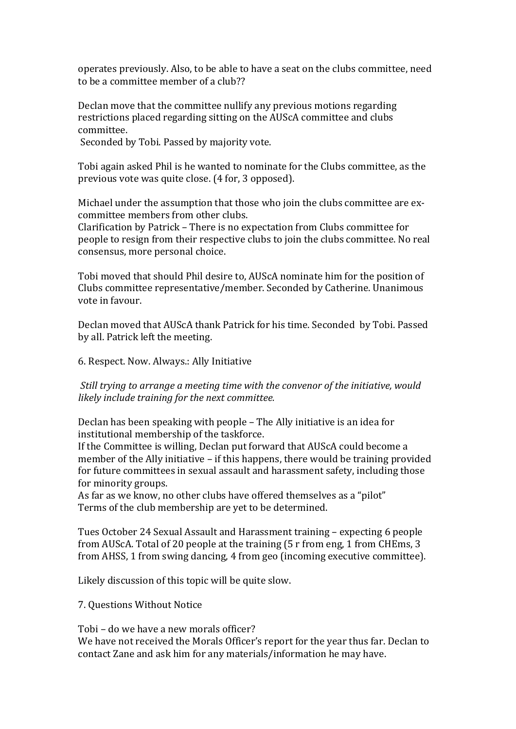operates previously. Also, to be able to have a seat on the clubs committee, need to be a committee member of a club??

Declan move that the committee nullify any previous motions regarding restrictions placed regarding sitting on the AUScA committee and clubs committee.

Seconded by Tobi. Passed by majority vote.

Tobi again asked Phil is he wanted to nominate for the Clubs committee, as the previous vote was quite close. (4 for, 3 opposed).

Michael under the assumption that those who join the clubs committee are excommittee members from other clubs.

Clarification by Patrick – There is no expectation from Clubs committee for people to resign from their respective clubs to join the clubs committee. No real consensus, more personal choice.

Tobi moved that should Phil desire to, AUScA nominate him for the position of Clubs committee representative/member. Seconded by Catherine. Unanimous vote in favour.

Declan moved that AUScA thank Patrick for his time. Seconded by Tobi. Passed by all. Patrick left the meeting.

6. Respect. Now. Always.: Ally Initiative

*Still trying to arrange a meeting time with the convenor of the initiative, would likely include training for the next committee.* 

Declan has been speaking with people  $-$  The Ally initiative is an idea for institutional membership of the taskforce.

If the Committee is willing, Declan put forward that AUScA could become a member of the Ally initiative  $-$  if this happens, there would be training provided for future committees in sexual assault and harassment safety, including those for minority groups.

As far as we know, no other clubs have offered themselves as a "pilot" Terms of the club membership are yet to be determined.

Tues October 24 Sexual Assault and Harassment training – expecting 6 people from AUScA. Total of 20 people at the training (5 r from eng, 1 from CHEms, 3 from AHSS, 1 from swing dancing, 4 from geo (incoming executive committee).

Likely discussion of this topic will be quite slow.

7. Questions Without Notice

Tobi – do we have a new morals officer? We have not received the Morals Officer's report for the vear thus far. Declan to contact Zane and ask him for any materials/information he may have.